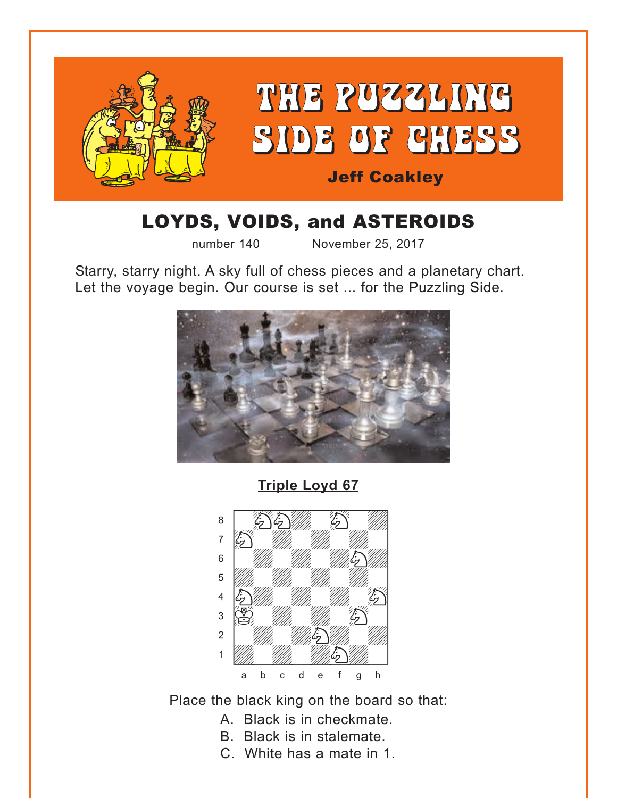<span id="page-0-0"></span>

# LOYDS, VOIDS, and ASTEROIDS

number 140 November 25, 2017

Starry, starry night. A sky full of chess pieces and a planetary chart. Let the voyage begin. Our course is set ... for the Puzzling Side.



**[Triple Loyd 67](#page-7-0)**



Place the black king on the board so that:

- A. Black is in checkmate.
- B. Black is in stalemate.
- C. White has a mate in 1.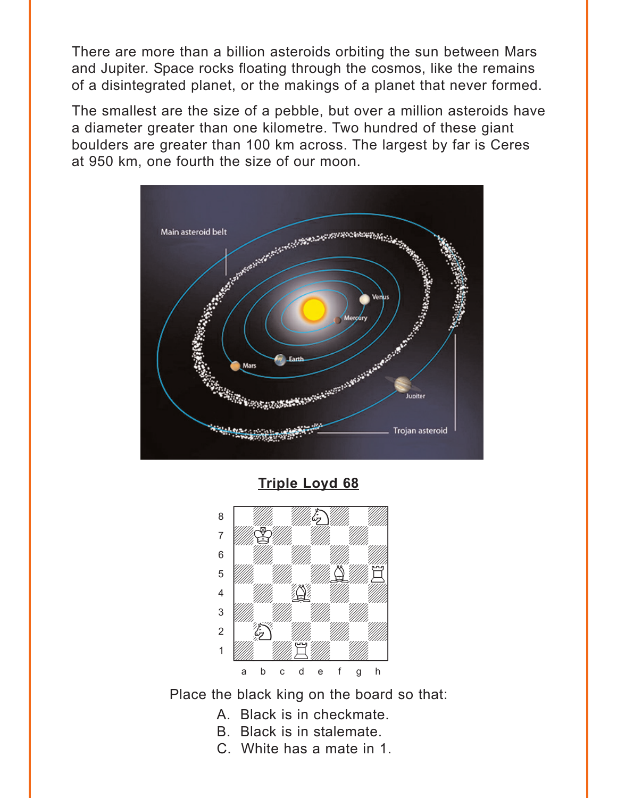<span id="page-1-0"></span>There are more than a billion asteroids orbiting the sun between Mars and Jupiter. Space rocks floating through the cosmos, like the remains of a disintegrated planet, or the makings of a planet that never formed.

The smallest are the size of a pebble, but over a million asteroids have a diameter greater than one kilometre. Two hundred of these giant boulders are greater than 100 km across. The largest by far is Ceres at 950 km, one fourth the size of our moon.



**[Triple Loyd 68](#page-8-0)**



Place the black king on the board so that:

- A. Black is in checkmate.
- B. Black is in stalemate.
- C. White has a mate in 1.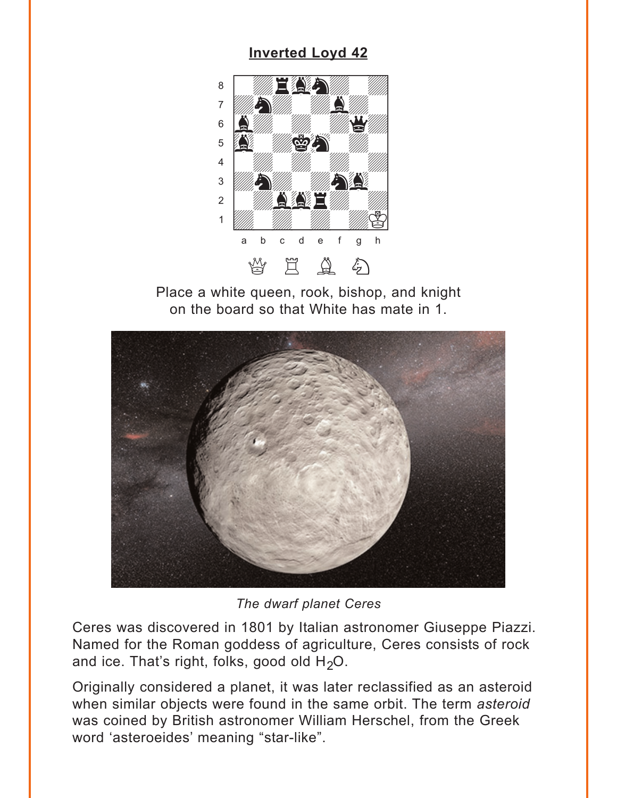## **Inverted Loyd 42**

<span id="page-2-0"></span>

Place a white queen, rook, bishop, and knight on the board so that White has mate in 1.



The dwarf planet Ceres

Ceres was discovered in 1801 by Italian astronomer Giuseppe Piazzi. Named for the Roman goddess of agriculture, Ceres consists of rock and ice. That's right, folks, good old  $H_2O$ .

Originally considered a planet, it was later reclassified as an asteroid when similar objects were found in the same orbit. The term asteroid was coined by British astronomer William Herschel, from the Greek word 'asteroeides' meaning "star-like".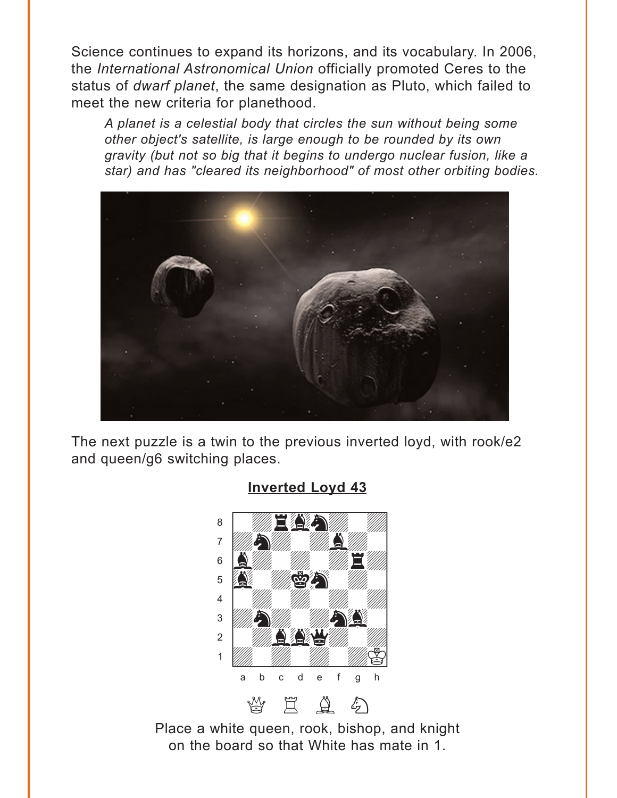<span id="page-3-0"></span>Science continues to expand its horizons, and its vocabulary. In 2006, the *International Astronomical Union* officially promoted Ceres to the status of *dwarf planet*, the same designation as Pluto, which failed to meet the new criteria for planethood.

*A planet is a celestial body that circles the sun without being some other object's satellite, is large enough to be rounded by its own gravity (but not so big that it begins to undergo nuclear fusion, like a star) and has "cleared its neighborhood" of most other orbiting bodies.*



The next puzzle is a twin to the previous inverted loyd, with rook/e2 and queen/g6 switching places.



### **[Inverted Loyd 43](#page-9-0)**

Place a white queen, rook, bishop, and knight on the board so that White has mate in 1.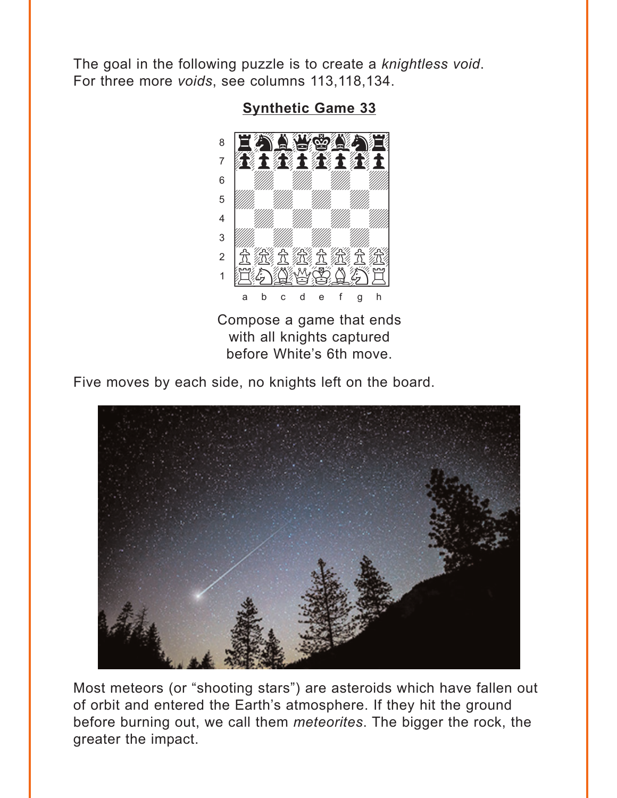<span id="page-4-0"></span>The goal in the following puzzle is to create a knightless void. For three more voids, see columns 113,118,134.



### **Synthetic Game 33**

Compose a game that ends with all knights captured before White's 6th move.

Five moves by each side, no knights left on the board.



Most meteors (or "shooting stars") are asteroids which have fallen out of orbit and entered the Earth's atmosphere. If they hit the ground before burning out, we call them meteorites. The bigger the rock, the greater the impact.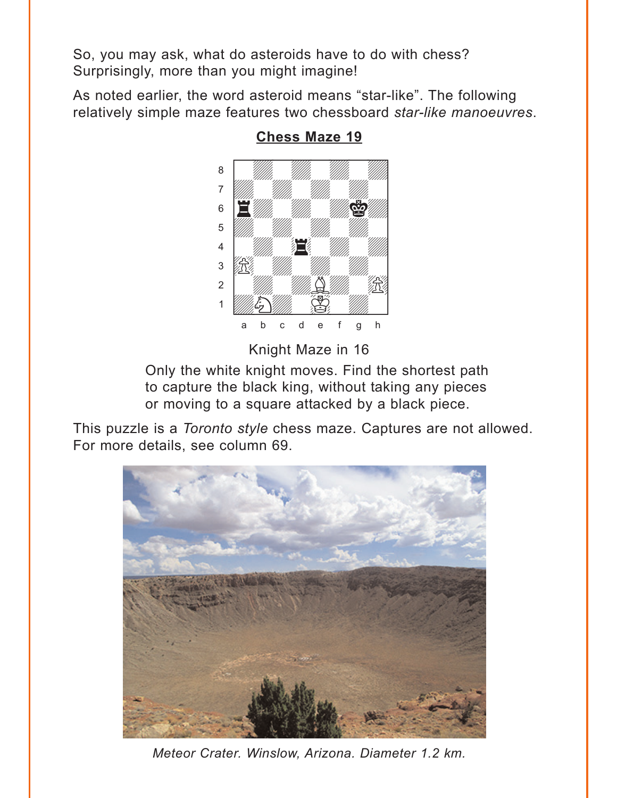<span id="page-5-0"></span>So, you may ask, what do asteroids have to do with chess? Surprisingly, more than you might imagine!

As noted earlier, the word asteroid means "star-like". The following relatively simple maze features two chessboard *star-like manoeuvres*.



**[Chess Maze 19](#page-11-0)**

Knight Maze in 16

Only the white knight moves. Find the shortest path to capture the black king, without taking any pieces or moving to a square attacked by a black piece.

This puzzle is a *Toronto style* chess maze. Captures are not allowed. For more details, see column 69.



*Meteor Crater. Winslow, Arizona. Diameter 1.2 km.*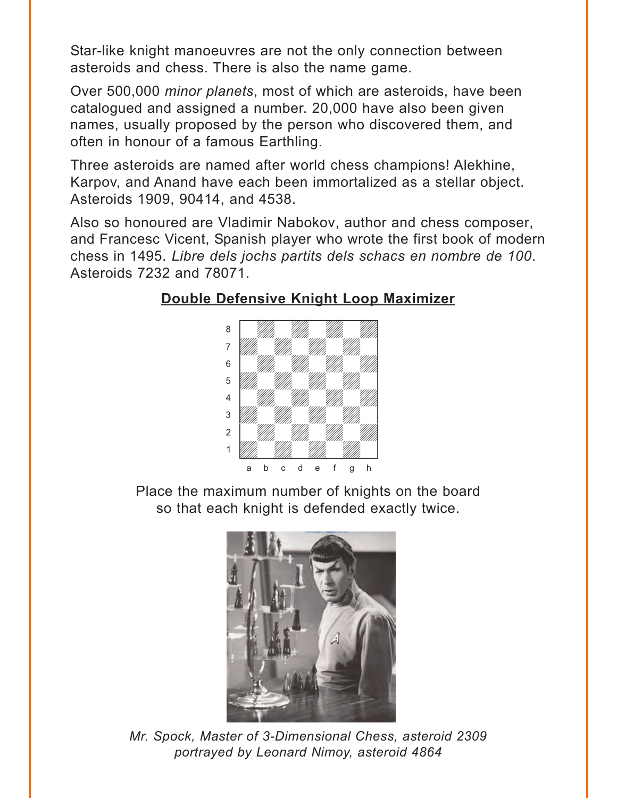<span id="page-6-0"></span>Star-like knight manoeuvres are not the only connection between asteroids and chess. There is also the name game.

Over 500,000 *minor planets*, most of which are asteroids, have been catalogued and assigned a number. 20,000 have also been given names, usually proposed by the person who discovered them, and often in honour of a famous Earthling.

Three asteroids are named after world chess champions! Alekhine, Karpov, and Anand have each been immortalized as a stellar object. Asteroids 1909, 90414, and 4538.

Also so honoured are Vladimir Nabokov, author and chess composer, and Francesc Vicent, Spanish player who wrote the first book of modern chess in 1495. *Libre dels jochs partits dels schacs en nombre de 100*. Asteroids 7232 and 78071.

### **[Double Defensive Knight Loop Maximizer](#page-12-0)**



Place the maximum number of knights on the board so that each knight is defended exactly twice.



*Mr. Spock, Master of 3-Dimensional Chess, asteroid 2309 portrayed by Leonard Nimoy, asteroid 4864*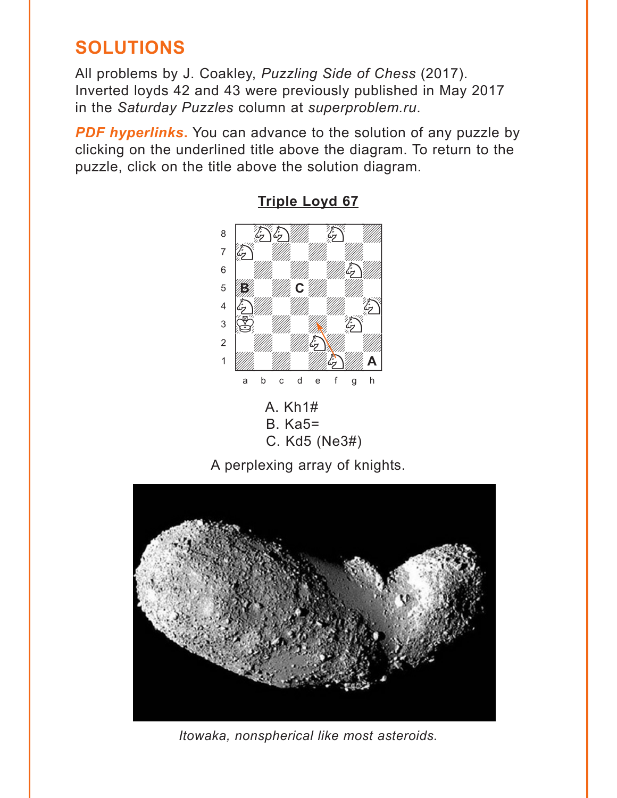# <span id="page-7-0"></span>**SOLUTIONS**

All problems by J. Coakley, *Puzzling Side of Chess* (2017). Inverted loyds 42 and 43 were previously published in May 2017 in the *Saturday Puzzles* column at *superproblem.ru*.

**PDF hyperlinks.** You can advance to the solution of any puzzle by clicking on the underlined title above the diagram. To return to the puzzle, click on the title above the solution diagram.



**[Triple Loyd 67](#page-0-0)**

A perplexing array of knights.



*Itowaka, nonspherical like most asteroids.*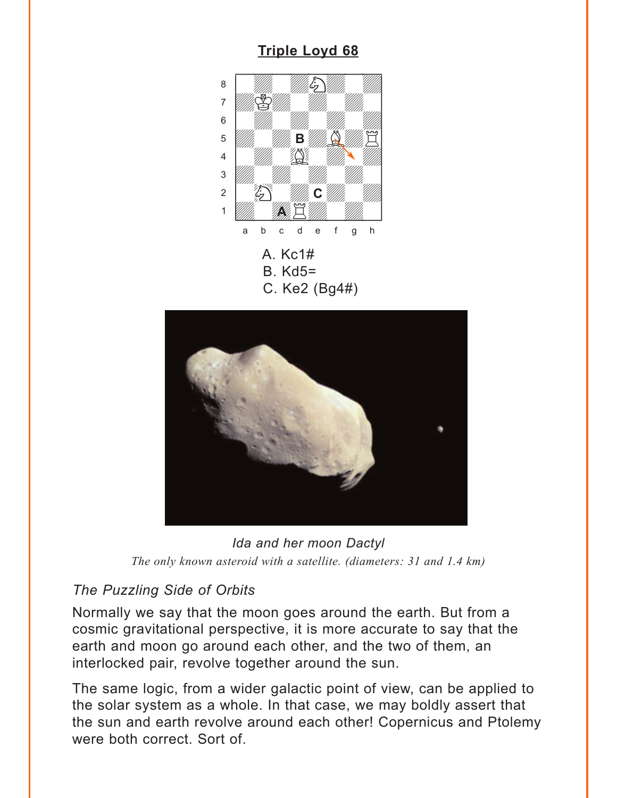#### <span id="page-8-0"></span>**[Triple Loyd 68](#page-1-0)** A. Kc1# B. Kd5= C. Ke2 (Bg4#) where  $\frac{1}{2}$  is the set of  $\frac{1}{2}$  is the set of  $\frac{1}{2}$  $\begin{picture}(40,40) \put(0,0){\vector(1,0){10}} \put(1,0){\vector(1,0){10}} \put(1,0){\vector(1,0){10}} \put(1,0){\vector(1,0){10}} \put(1,0){\vector(1,0){10}} \put(1,0){\vector(1,0){10}} \put(1,0){\vector(1,0){10}} \put(1,0){\vector(1,0){10}} \put(1,0){\vector(1,0){10}} \put(1,0){\vector(1,0){10}} \put(1,0){\vector(1,0){10}} \put(1,0){\vector(1,0){10}} \put(1,$ adka Millim Millim Millim Katalonia a Millim Katalonia a Tanzania a Millim Katalonia a Tanzania a C  $\begin{bmatrix} \begin{array}{ccc} \text{S} & \text{S} \end{array} & \text{S} & \text{S} & \text{S} & \text{S} & \text{S} & \text{S} & \text{S} & \text{S} & \text{S} & \text{S} & \text{S} & \text{S} & \text{S} & \text{S} & \text{S} & \text{S} & \text{S} & \text{S} & \text{S} & \text{S} & \text{S} & \text{S} & \text{S} & \text{S} & \text{S} & \text{S} & \text{S} & \text{S} & \text{S} & \text{S} & \text{S} & \text{S$  $\mathbf{B}$   $\mathbf{B}$   $\mathbf{B}$   $\mathbf{B}$   $\mathbf{B}$   $\mathbf{B}$   $\mathbf{B}$   $\mathbf{B}$   $\mathbf{B}$   $\mathbf{B}$   $\mathbf{B}$   $\mathbf{B}$   $\mathbf{B}$   $\mathbf{B}$   $\mathbf{B}$   $\mathbf{B}$   $\mathbf{B}$   $\mathbf{B}$   $\mathbf{B}$   $\mathbf{B}$   $\mathbf{B}$   $\mathbf{B}$   $\mathbf{B}$   $\mathbf{B}$   $\mathbf{$  $\frac{1}{\sqrt{2}}$   $\frac{1}{\sqrt{2}}$ 3 *William William William William William William William William William William William William William William W*  $\sim$   $\frac{1}{2}$   $\frac{1}{2}$   $\frac{1}{2}$   $\frac{1}{2}$   $\frac{1}{2}$   $\frac{1}{2}$   $\frac{1}{2}$   $\frac{1}{2}$   $\frac{1}{2}$   $\frac{1}{2}$   $\frac{1}{2}$   $\frac{1}{2}$   $\frac{1}{2}$   $\frac{1}{2}$   $\frac{1}{2}$   $\frac{1}{2}$   $\frac{1}{2}$   $\frac{1}{2}$   $\frac{1}{2}$   $\frac{1}{2}$   $\frac{1}{2}$   $\frac{1}{$ 1 *Udward Rhoe Elling William Communication* a b c d e f g h **B C A**



*Ida and her moon Dactyl The only known asteroid with a satellite. (diameters: 31 and 1.4 km)*

# *The Puzzling Side of Orbits*

Normally we say that the moon goes around the earth. But from a cosmic gravitational perspective, it is more accurate to say that the earth and moon go around each other, and the two of them, an interlocked pair, revolve together around the sun.

The same logic, from a wider galactic point of view, can be applied to the solar system as a whole. In that case, we may boldly assert that the sun and earth revolve around each other! Copernicus and Ptolemy were both correct. Sort of.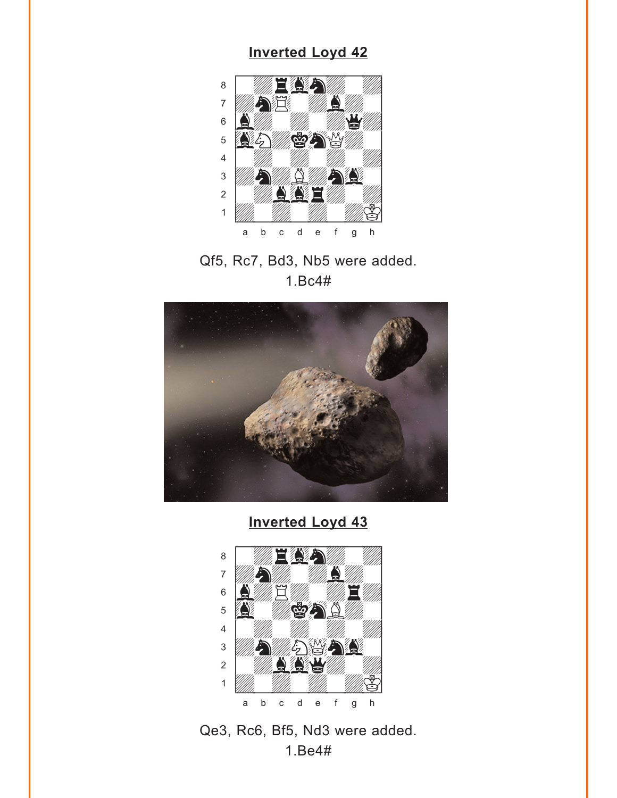### **[Inverted Loyd 42](#page-2-0)**

<span id="page-9-0"></span>

Qf5, Rc7, Bd3, Nb5 were added. 1.Bc4#



**[Inverted Loyd 43](#page-3-0)**



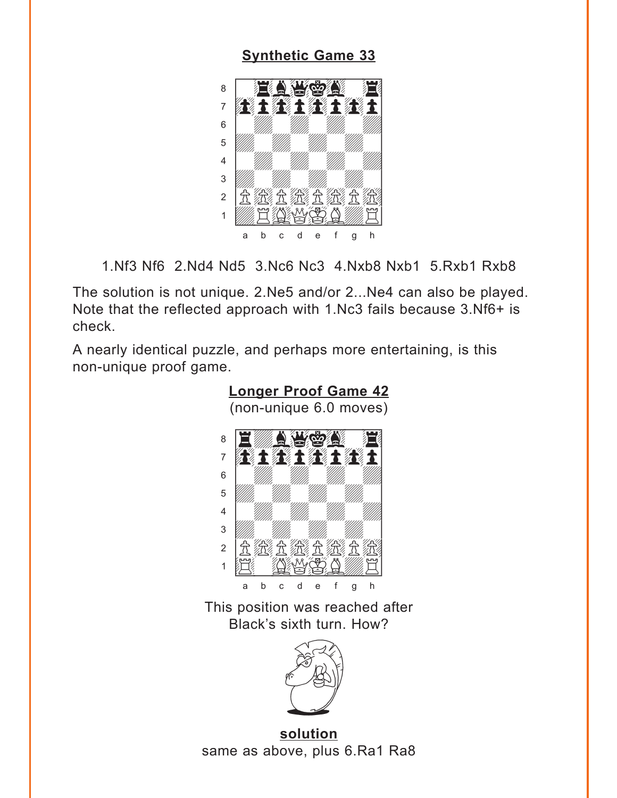### **[Synthetic Game 33](#page-4-0)**

<span id="page-10-0"></span>

1.Nf3 Nf6 2.Nd4 Nd5 3.Nc6 Nc3 4.Nxb8 Nxb1 5.Rxb1 Rxb8

The solution is not unique. 2.Ne5 and/or 2...Ne4 can also be played. Note that the reflected approach with 1.Nc3 fails because 3.Nf6+ is check.

A nearly identical puzzle, and perhaps more entertaining, is this non-unique proof game.



This position was reached after Black's sixth turn. How?



**solution** same as above, plus 6.Ra1 Ra8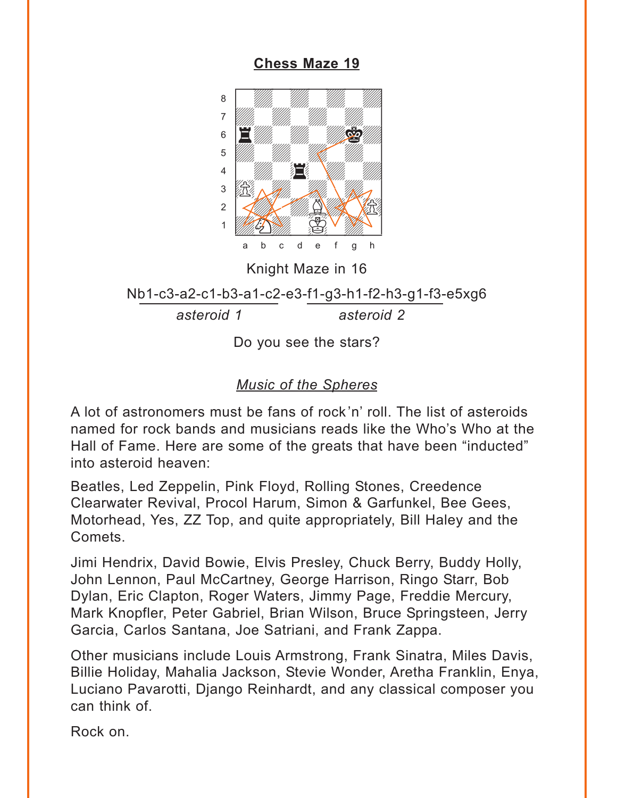<span id="page-11-0"></span>**[Chess Maze 19](#page-5-0)**



Knight Maze in 16

Nb1-c3-a2-c1-b3-a1-c2-e3-f1-g3-h1-f2-h3-g1-f3-e5xg6

*asteroid 1 asteroid 2*

Do you see the stars?

### *Music of the Spheres*

A lot of astronomers must be fans of rock'n' roll. The list of asteroids named for rock bands and musicians reads like the Who's Who at the Hall of Fame. Here are some of the greats that have been "inducted" into asteroid heaven:

Beatles, Led Zeppelin, Pink Floyd, Rolling Stones, Creedence Clearwater Revival, Procol Harum, Simon & Garfunkel, Bee Gees, Motorhead, Yes, ZZ Top, and quite appropriately, Bill Haley and the Comets.

Jimi Hendrix, David Bowie, Elvis Presley, Chuck Berry, Buddy Holly, John Lennon, Paul McCartney, George Harrison, Ringo Starr, Bob Dylan, Eric Clapton, Roger Waters, Jimmy Page, Freddie Mercury, Mark Knopfler, Peter Gabriel, Brian Wilson, Bruce Springsteen, Jerry Garcia, Carlos Santana, Joe Satriani, and Frank Zappa.

Other musicians include Louis Armstrong, Frank Sinatra, Miles Davis, Billie Holiday, Mahalia Jackson, Stevie Wonder, Aretha Franklin, Enya, Luciano Pavarotti, Django Reinhardt, and any classical composer you can think of.

Rock on.